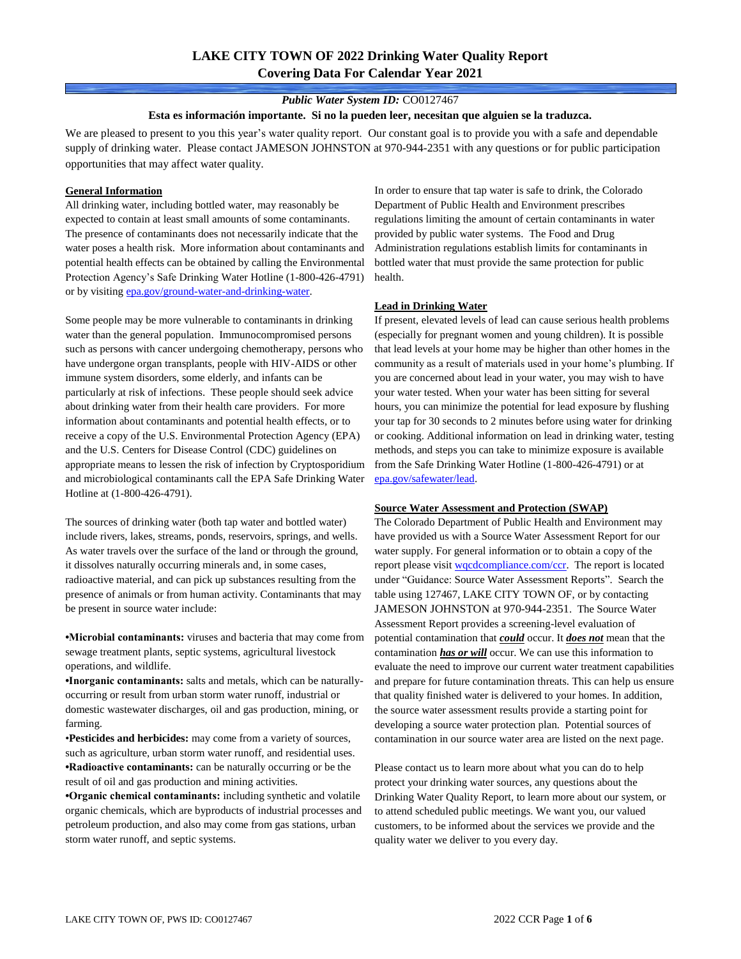# **LAKE CITY TOWN OF 2022 Drinking Water Quality Report Covering Data For Calendar Year 2021**

### *Public Water System ID:* CO0127467

#### **Esta es información importante. Si no la pueden leer, necesitan que alguien se la traduzca.**

We are pleased to present to you this year's water quality report. Our constant goal is to provide you with a safe and dependable supply of drinking water. Please contact JAMESON JOHNSTON at 970-944-2351 with any questions or for public participation opportunities that may affect water quality.

#### **General Information**

All drinking water, including bottled water, may reasonably be expected to contain at least small amounts of some contaminants. The presence of contaminants does not necessarily indicate that the water poses a health risk. More information about contaminants and potential health effects can be obtained by calling the Environmental Protection Agency's Safe Drinking Water Hotline (1-800-426-4791) or by visiting [epa.gov/ground-water-and-drinking-water.](https://www.epa.gov/ground-water-and-drinking-water)

Some people may be more vulnerable to contaminants in drinking water than the general population. Immunocompromised persons such as persons with cancer undergoing chemotherapy, persons who have undergone organ transplants, people with HIV-AIDS or other immune system disorders, some elderly, and infants can be particularly at risk of infections. These people should seek advice about drinking water from their health care providers. For more information about contaminants and potential health effects, or to receive a copy of the U.S. Environmental Protection Agency (EPA) and the U.S. Centers for Disease Control (CDC) guidelines on appropriate means to lessen the risk of infection by Cryptosporidium and microbiological contaminants call the EPA Safe Drinking Water Hotline at (1-800-426-4791).

The sources of drinking water (both tap water and bottled water) include rivers, lakes, streams, ponds, reservoirs, springs, and wells. As water travels over the surface of the land or through the ground, it dissolves naturally occurring minerals and, in some cases, radioactive material, and can pick up substances resulting from the presence of animals or from human activity. Contaminants that may be present in source water include:

**•Microbial contaminants:** viruses and bacteria that may come from sewage treatment plants, septic systems, agricultural livestock operations, and wildlife.

**•Inorganic contaminants:** salts and metals, which can be naturallyoccurring or result from urban storm water runoff, industrial or domestic wastewater discharges, oil and gas production, mining, or farming.

•**Pesticides and herbicides:** may come from a variety of sources, such as agriculture, urban storm water runoff, and residential uses. **•Radioactive contaminants:** can be naturally occurring or be the result of oil and gas production and mining activities.

**•Organic chemical contaminants:** including synthetic and volatile organic chemicals, which are byproducts of industrial processes and petroleum production, and also may come from gas stations, urban storm water runoff, and septic systems.

In order to ensure that tap water is safe to drink, the Colorado Department of Public Health and Environment prescribes regulations limiting the amount of certain contaminants in water provided by public water systems. The Food and Drug Administration regulations establish limits for contaminants in bottled water that must provide the same protection for public health.

### **Lead in Drinking Water**

If present, elevated levels of lead can cause serious health problems (especially for pregnant women and young children). It is possible that lead levels at your home may be higher than other homes in the community as a result of materials used in your home's plumbing. If you are concerned about lead in your water, you may wish to have your water tested. When your water has been sitting for several hours, you can minimize the potential for lead exposure by flushing your tap for 30 seconds to 2 minutes before using water for drinking or cooking. Additional information on lead in drinking water, testing methods, and steps you can take to minimize exposure is available from the Safe Drinking Water Hotline (1-800-426-4791) or at [epa.gov/safewater/lead.](http://www.epa.gov/safewater/lead) 

#### **Source Water Assessment and Protection (SWAP)**

The Colorado Department of Public Health and Environment may have provided us with a Source Water Assessment Report for our water supply. For general information or to obtain a copy of the report please visit [wqcdcompliance.com/ccr.](https://wqcdcompliance.com/ccr) The report is located under "Guidance: Source Water Assessment Reports". Search the table using 127467, LAKE CITY TOWN OF, or by contacting JAMESON JOHNSTON at 970-944-2351. The Source Water Assessment Report provides a screening-level evaluation of potential contamination that *could* occur. It *does not* mean that the contamination *has or will* occur. We can use this information to evaluate the need to improve our current water treatment capabilities and prepare for future contamination threats. This can help us ensure that quality finished water is delivered to your homes. In addition, the source water assessment results provide a starting point for developing a source water protection plan. Potential sources of contamination in our source water area are listed on the next page.

Please contact us to learn more about what you can do to help protect your drinking water sources, any questions about the Drinking Water Quality Report, to learn more about our system, or to attend scheduled public meetings. We want you, our valued customers, to be informed about the services we provide and the quality water we deliver to you every day.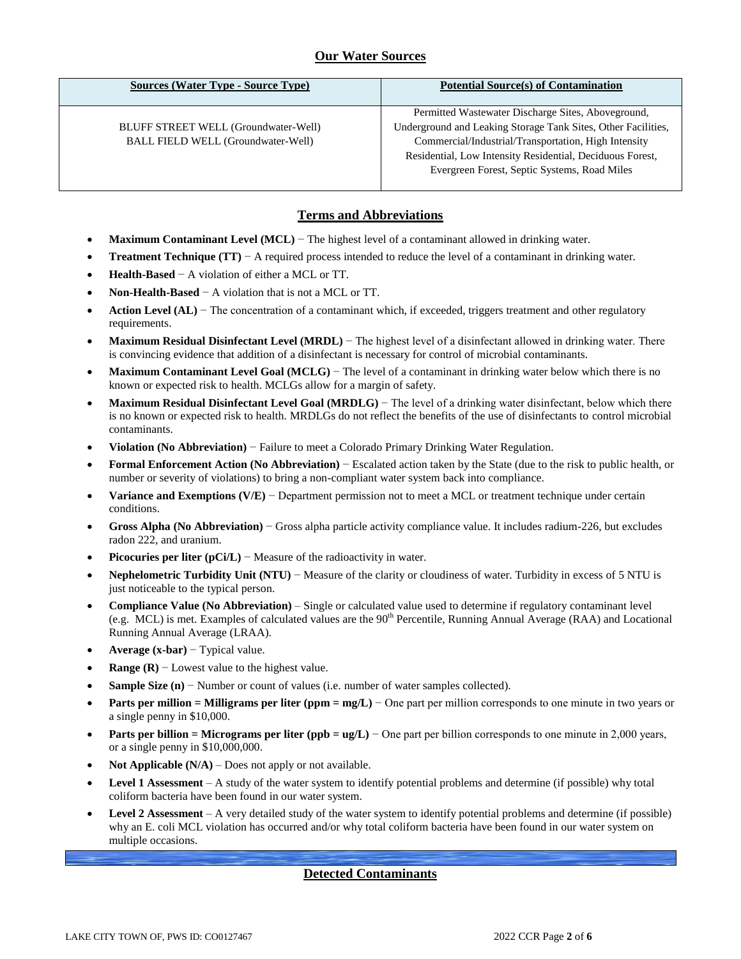## **Our Water Sources**

| <b>Sources (Water Type - Source Type)</b>                                                | <b>Potential Source(s) of Contamination</b>                                                                                                                                                                                                                                              |
|------------------------------------------------------------------------------------------|------------------------------------------------------------------------------------------------------------------------------------------------------------------------------------------------------------------------------------------------------------------------------------------|
| <b>BLUFF STREET WELL (Groundwater-Well)</b><br><b>BALL FIELD WELL (Groundwater-Well)</b> | Permitted Wastewater Discharge Sites, Aboveground,<br>Underground and Leaking Storage Tank Sites, Other Facilities,<br>Commercial/Industrial/Transportation, High Intensity<br>Residential, Low Intensity Residential, Deciduous Forest,<br>Evergreen Forest, Septic Systems, Road Miles |

## **Terms and Abbreviations**

- **Maximum Contaminant Level (MCL)** − The highest level of a contaminant allowed in drinking water.
- **Treatment Technique (TT)** − A required process intended to reduce the level of a contaminant in drinking water.
- **Health-Based** − A violation of either a MCL or TT.
- **Non-Health-Based** − A violation that is not a MCL or TT.
- **Action Level (AL)** − The concentration of a contaminant which, if exceeded, triggers treatment and other regulatory requirements.
- **Maximum Residual Disinfectant Level (MRDL)** − The highest level of a disinfectant allowed in drinking water. There is convincing evidence that addition of a disinfectant is necessary for control of microbial contaminants.
- **Maximum Contaminant Level Goal (MCLG)** − The level of a contaminant in drinking water below which there is no known or expected risk to health. MCLGs allow for a margin of safety.
- **Maximum Residual Disinfectant Level Goal (MRDLG)** − The level of a drinking water disinfectant, below which there is no known or expected risk to health. MRDLGs do not reflect the benefits of the use of disinfectants to control microbial contaminants.
- **Violation (No Abbreviation)** − Failure to meet a Colorado Primary Drinking Water Regulation.
- **Formal Enforcement Action (No Abbreviation)** − Escalated action taken by the State (due to the risk to public health, or number or severity of violations) to bring a non-compliant water system back into compliance.
- **Variance and Exemptions (V/E)** − Department permission not to meet a MCL or treatment technique under certain conditions.
- **Gross Alpha (No Abbreviation)** − Gross alpha particle activity compliance value. It includes radium-226, but excludes radon 222, and uranium.
- **Picocuries per liter (pCi/L)** − Measure of the radioactivity in water.
- **Nephelometric Turbidity Unit (NTU)** − Measure of the clarity or cloudiness of water. Turbidity in excess of 5 NTU is just noticeable to the typical person.
- **Compliance Value (No Abbreviation)** Single or calculated value used to determine if regulatory contaminant level (e.g. MCL) is met. Examples of calculated values are the 90<sup>th</sup> Percentile, Running Annual Average (RAA) and Locational Running Annual Average (LRAA).
- **Average (x-bar)** − Typical value.
- **Range (R)**  $-$  Lowest value to the highest value.
- **Sample Size (n)** − Number or count of values (i.e. number of water samples collected).
- **Parts per million = Milligrams per liter (ppm = mg/L)** − One part per million corresponds to one minute in two years or a single penny in \$10,000.
- **Parts per billion = Micrograms per liter (ppb = ug/L)** − One part per billion corresponds to one minute in 2,000 years, or a single penny in \$10,000,000.
- **Not Applicable (N/A)** Does not apply or not available.
- **Level 1 Assessment** A study of the water system to identify potential problems and determine (if possible) why total coliform bacteria have been found in our water system.
- **Level 2 Assessment** A very detailed study of the water system to identify potential problems and determine (if possible) why an E. coli MCL violation has occurred and/or why total coliform bacteria have been found in our water system on multiple occasions.

## **Detected Contaminants**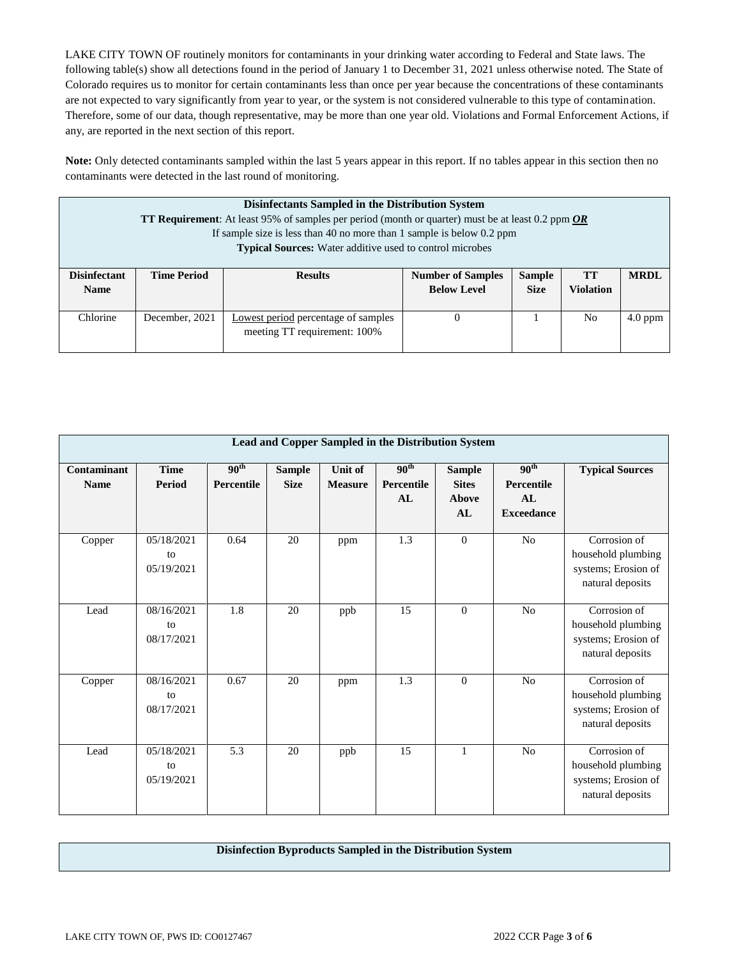LAKE CITY TOWN OF routinely monitors for contaminants in your drinking water according to Federal and State laws. The following table(s) show all detections found in the period of January 1 to December 31, 2021 unless otherwise noted. The State of Colorado requires us to monitor for certain contaminants less than once per year because the concentrations of these contaminants are not expected to vary significantly from year to year, or the system is not considered vulnerable to this type of contamination. Therefore, some of our data, though representative, may be more than one year old. Violations and Formal Enforcement Actions, if any, are reported in the next section of this report.

**Note:** Only detected contaminants sampled within the last 5 years appear in this report. If no tables appear in this section then no contaminants were detected in the last round of monitoring.

| Disinfectants Sampled in the Distribution System<br><b>TT Requirement</b> : At least 95% of samples per period (month or quarter) must be at least 0.2 ppm <b>OR</b><br>If sample size is less than 40 no more than 1 sample is below 0.2 ppm<br><b>Typical Sources:</b> Water additive used to control microbes |                    |                                                                     |                                                |                              |                 |             |  |
|------------------------------------------------------------------------------------------------------------------------------------------------------------------------------------------------------------------------------------------------------------------------------------------------------------------|--------------------|---------------------------------------------------------------------|------------------------------------------------|------------------------------|-----------------|-------------|--|
| <b>Disinfectant</b><br><b>Name</b>                                                                                                                                                                                                                                                                               | <b>Time Period</b> | <b>Results</b>                                                      | <b>Number of Samples</b><br><b>Below Level</b> | <b>Sample</b><br><b>Size</b> | TT<br>Violation | <b>MRDL</b> |  |
| Chlorine                                                                                                                                                                                                                                                                                                         | December, 2021     | Lowest period percentage of samples<br>meeting TT requirement: 100% | 0                                              |                              | N <sub>0</sub>  | $4.0$ ppm   |  |

|                            | Lead and Copper Sampled in the Distribution System |                                |                              |                           |                                      |                                              |                                                           |                                                                               |  |  |
|----------------------------|----------------------------------------------------|--------------------------------|------------------------------|---------------------------|--------------------------------------|----------------------------------------------|-----------------------------------------------------------|-------------------------------------------------------------------------------|--|--|
| Contaminant<br><b>Name</b> | <b>Time</b><br>Period                              | 90 <sup>th</sup><br>Percentile | <b>Sample</b><br><b>Size</b> | Unit of<br><b>Measure</b> | 90 <sup>th</sup><br>Percentile<br>AL | <b>Sample</b><br><b>Sites</b><br>Above<br>AL | 90 <sup>th</sup><br>Percentile<br>AL<br><b>Exceedance</b> | <b>Typical Sources</b>                                                        |  |  |
| Copper                     | 05/18/2021<br>to<br>05/19/2021                     | 0.64                           | 20                           | ppm                       | $\overline{1.3}$                     | $\overline{0}$                               | N <sub>o</sub>                                            | Corrosion of<br>household plumbing<br>systems; Erosion of<br>natural deposits |  |  |
| Lead                       | 08/16/2021<br>to<br>08/17/2021                     | 1.8                            | 20                           | ppb                       | 15                                   | $\theta$                                     | No                                                        | Corrosion of<br>household plumbing<br>systems; Erosion of<br>natural deposits |  |  |
| Copper                     | 08/16/2021<br>to<br>08/17/2021                     | 0.67                           | 20                           | ppm                       | 1.3                                  | $\Omega$                                     | N <sub>o</sub>                                            | Corrosion of<br>household plumbing<br>systems; Erosion of<br>natural deposits |  |  |
| Lead                       | 05/18/2021<br>to<br>05/19/2021                     | 5.3                            | 20                           | ppb                       | 15                                   | $\mathbf{1}$                                 | No                                                        | Corrosion of<br>household plumbing<br>systems; Erosion of<br>natural deposits |  |  |

### **Disinfection Byproducts Sampled in the Distribution System**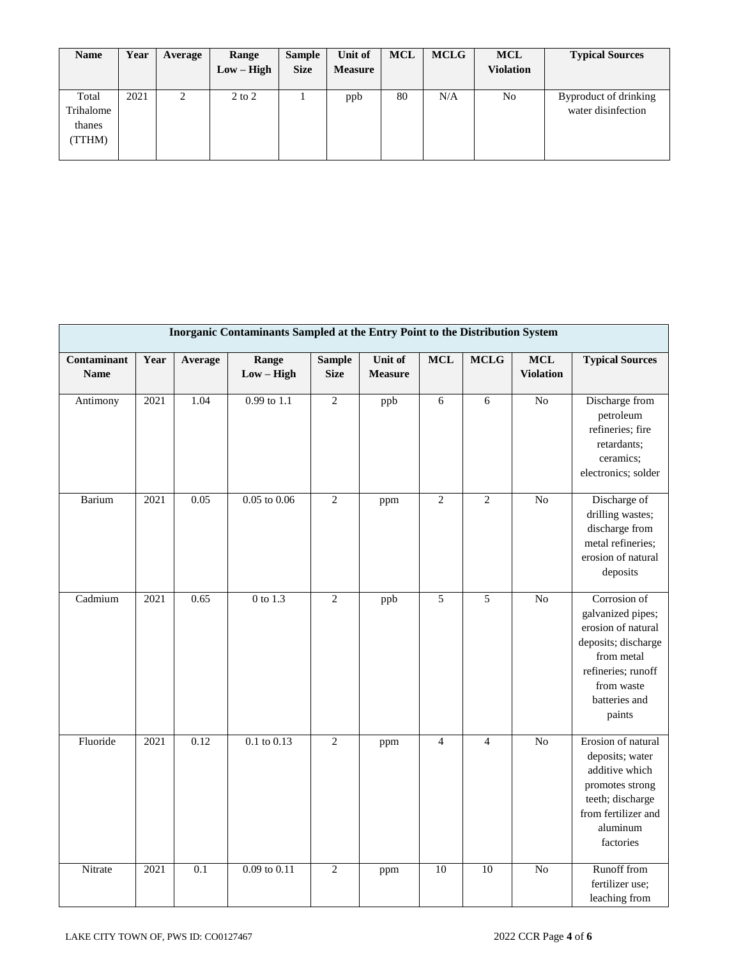| <b>Name</b>                            | Year | Average | Range<br>$Low - High$ | <b>Sample</b><br><b>Size</b> | Unit of<br><b>Measure</b> | <b>MCL</b> | <b>MCLG</b> | <b>MCL</b><br><b>Violation</b> | <b>Typical Sources</b>                      |
|----------------------------------------|------|---------|-----------------------|------------------------------|---------------------------|------------|-------------|--------------------------------|---------------------------------------------|
| Total<br>Trihalome<br>thanes<br>(TTHM) | 2021 | റ<br>∠  | $2$ to $2$            |                              | ppb                       | 80         | N/A         | No                             | Byproduct of drinking<br>water disinfection |

| Inorganic Contaminants Sampled at the Entry Point to the Distribution System |      |                  |                       |                              |                           |                |                |                                |                                                                                                                                                             |
|------------------------------------------------------------------------------|------|------------------|-----------------------|------------------------------|---------------------------|----------------|----------------|--------------------------------|-------------------------------------------------------------------------------------------------------------------------------------------------------------|
| Contaminant<br><b>Name</b>                                                   | Year | Average          | Range<br>$Low - High$ | <b>Sample</b><br><b>Size</b> | Unit of<br><b>Measure</b> | $\bf MCL$      | <b>MCLG</b>    | <b>MCL</b><br><b>Violation</b> | <b>Typical Sources</b>                                                                                                                                      |
| Antimony                                                                     | 2021 | 1.04             | 0.99 to 1.1           | $\mathbf{2}$                 | ppb                       | 6              | 6              | N <sub>o</sub>                 | Discharge from<br>petroleum<br>refineries; fire<br>retardants;<br>ceramics;<br>electronics; solder                                                          |
| Barium                                                                       | 2021 | 0.05             | $0.05$ to $0.06$      | $\mathbf{2}$                 | ppm                       | $\overline{2}$ | $\overline{2}$ | N <sub>o</sub>                 | Discharge of<br>drilling wastes;<br>discharge from<br>metal refineries;<br>erosion of natural<br>deposits                                                   |
| Cadmium                                                                      | 2021 | 0.65             | $0$ to $1.3$          | $\overline{2}$               | ppb                       | $\overline{5}$ | $\overline{5}$ | $\overline{No}$                | Corrosion of<br>galvanized pipes;<br>erosion of natural<br>deposits; discharge<br>from metal<br>refineries; runoff<br>from waste<br>batteries and<br>paints |
| Fluoride                                                                     | 2021 | 0.12             | $0.1$ to $0.13$       | $\overline{2}$               | ppm                       | $\overline{4}$ | $\overline{4}$ | $\overline{No}$                | Erosion of natural<br>deposits; water<br>additive which<br>promotes strong<br>teeth; discharge<br>from fertilizer and<br>aluminum<br>factories              |
| Nitrate                                                                      | 2021 | $\overline{0.1}$ | $0.09$ to $0.11$      | $\overline{2}$               | ppm                       | 10             | 10             | N <sub>o</sub>                 | Runoff from<br>fertilizer use;<br>leaching from                                                                                                             |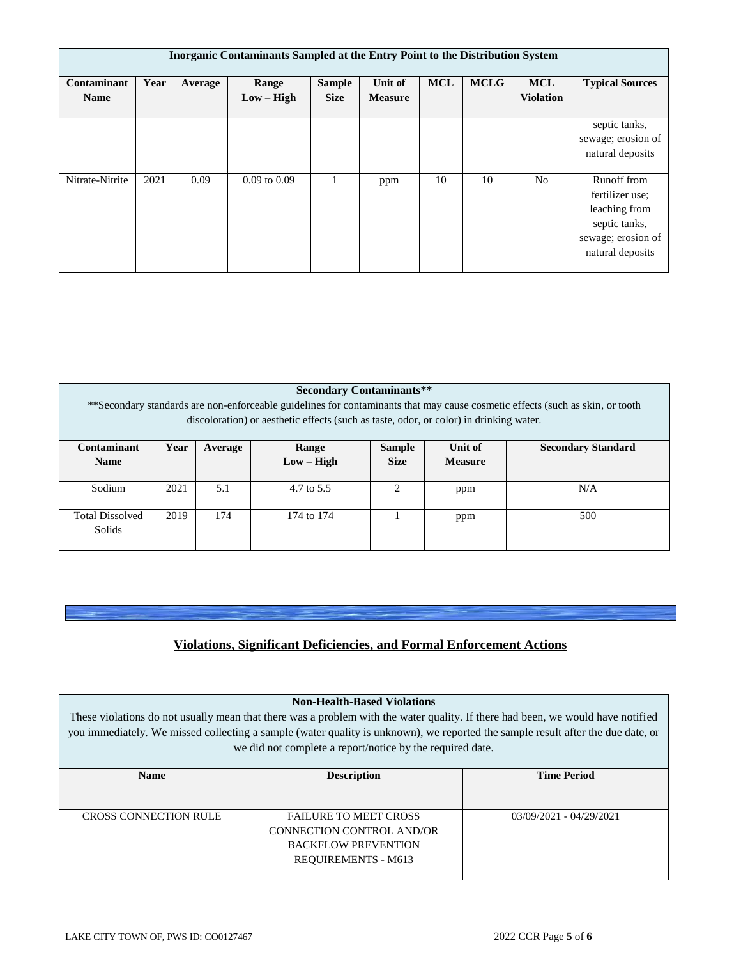| <b>Inorganic Contaminants Sampled at the Entry Point to the Distribution System</b> |      |         |                       |                              |                                  |            |             |                                |                                                                                                            |
|-------------------------------------------------------------------------------------|------|---------|-----------------------|------------------------------|----------------------------------|------------|-------------|--------------------------------|------------------------------------------------------------------------------------------------------------|
| Contaminant<br><b>Name</b>                                                          | Year | Average | Range<br>$Low - High$ | <b>Sample</b><br><b>Size</b> | <b>Unit of</b><br><b>Measure</b> | <b>MCL</b> | <b>MCLG</b> | <b>MCL</b><br><b>Violation</b> | <b>Typical Sources</b>                                                                                     |
|                                                                                     |      |         |                       |                              |                                  |            |             |                                | septic tanks,<br>sewage; erosion of<br>natural deposits                                                    |
| Nitrate-Nitrite                                                                     | 2021 | 0.09    | $0.09$ to $0.09$      |                              | ppm                              | 10         | 10          | N <sub>o</sub>                 | Runoff from<br>fertilizer use:<br>leaching from<br>septic tanks,<br>sewage; erosion of<br>natural deposits |

### **Secondary Contaminants\*\***

\*\*Secondary standards are non-enforceable guidelines for contaminants that may cause cosmetic effects (such as skin, or tooth discoloration) or aesthetic effects (such as taste, odor, or color) in drinking water.

| Contaminant<br><b>Name</b>       | Year | Average | Range<br>$Low - High$ | <b>Sample</b><br><b>Size</b> | Unit of<br><b>Measure</b> | <b>Secondary Standard</b> |
|----------------------------------|------|---------|-----------------------|------------------------------|---------------------------|---------------------------|
| Sodium                           | 2021 | 5.1     | 4.7 to 5.5            |                              | ppm                       | N/A                       |
| <b>Total Dissolved</b><br>Solids | 2019 | 174     | 174 to 174            |                              | ppm                       | 500                       |

# **Violations, Significant Deficiencies, and Formal Enforcement Actions**

| <b>Non-Health-Based Violations</b>                                                                                              |                                                                                                                                 |                           |  |  |  |  |  |
|---------------------------------------------------------------------------------------------------------------------------------|---------------------------------------------------------------------------------------------------------------------------------|---------------------------|--|--|--|--|--|
| These violations do not usually mean that there was a problem with the water quality. If there had been, we would have notified |                                                                                                                                 |                           |  |  |  |  |  |
|                                                                                                                                 | you immediately. We missed collecting a sample (water quality is unknown), we reported the sample result after the due date, or |                           |  |  |  |  |  |
|                                                                                                                                 | we did not complete a report/notice by the required date.                                                                       |                           |  |  |  |  |  |
|                                                                                                                                 |                                                                                                                                 |                           |  |  |  |  |  |
| <b>Name</b>                                                                                                                     | <b>Description</b><br><b>Time Period</b>                                                                                        |                           |  |  |  |  |  |
|                                                                                                                                 |                                                                                                                                 |                           |  |  |  |  |  |
|                                                                                                                                 |                                                                                                                                 |                           |  |  |  |  |  |
|                                                                                                                                 |                                                                                                                                 |                           |  |  |  |  |  |
| <b>CROSS CONNECTION RULE</b>                                                                                                    | <b>FAILURE TO MEET CROSS</b>                                                                                                    | $03/09/2021 - 04/29/2021$ |  |  |  |  |  |

BACKFLOW PREVENTION REQUIREMENTS - M613